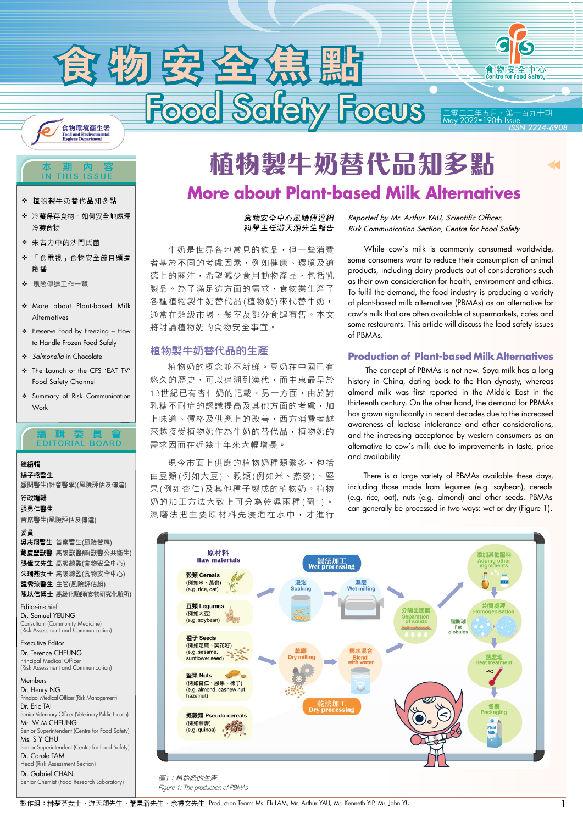



*ISSN 2224-6908*

#### 本期內容 IN THIS ISSUE

- ◆ 植物製牛奶替代品知多點
- 冷藏保存食物–如何安全地處理 冷藏食物
- ◆ 朱古力中的沙門氏菌
- 「食電視」食物安全節目頻道 啟播
- 風險傳達工作一覽
- More about Plant-based Milk Alternatives
- Preserve Food by Freezing How to Handle Frozen Food Safely
- Salmonella in Chocolate
- The Launch of the CFS 'EAT TV' Food Safety Channel
- Summary of Risk Communication Work

### 編輯委員會 EDITORIAL BOARD

# 總編輯

楊子橋醫生 顧問醫生(社會醫學)(風險評估及傳達)

行政編輯 張勇仁醫生 首席醫生(風險評估及傳達)

委員

吳志翔醫生 首席醫生(風險管理) 戴慶豐獸醫 高級獸醫師(獸醫公共衞生) 張偉文先生 高級總監(食物安全中心) 朱瑞燕女士 高級總監(食物安全中心) 譚秀琼醫生 主管(風險評估組) 陳以信博士 高級化驗師(食物研究化驗所)

Editor-in-chief Dr. Samuel YEUNG Consultant (Community Medicine) (Risk Assessment and Communication)

Executive Editor Dr. Terence CHEUNG Principal Medical Officer (Risk Assessment and Communication)

Members

Dr. Henry NG Principal Medical Officer (Risk Management) Dr. Eric TAI Senior Veterinary Officer (Veterinary Public Health) Mr. W M CHEUNG Senior Superintendent (Centre for Food Safety) Ms. S.Y.CHIL Senior Superintendent (Centre for Food Safety) Dr. Carole TAM Head (Risk Assessment Section) Dr. Gabriel CHAN

Senior Chemist (Food Research Laboratory)

# **More about Plant-based Milk Alternatives 植物製牛奶替代品知多點**

### 食物安全中心風險傳達組 科學主任游天頌先生報告

 牛奶是世界各地常見的飲品,但一些消費 者基於不同的考慮因素,例如健康、環境及道 德上的關注,希望減少食用動物產品,包括乳 製品。為了滿足這方面的需求,食物業生產了 各種植物製牛奶替代品(植物奶)來代替牛奶, 通常在超級市場、餐室及部分食肆有售。本文 將討論植物奶的食物安全事宜。

# 植物製牛奶替代品的生產

 植物奶的概念並不新鮮。豆奶在中國已有 悠久的歷史,可以追溯到漢代,而中東最早於 13世紀已有杏仁奶的記載。另一方面,由於對 乳糖不耐症的認識提高及其他方面的考慮,加 上味道、價格及供應上的改善,西方消費者越 來越接受植物奶作為牛奶的替代品,植物奶的 需求因而在近幾十年來大幅增長。

 現今市面上供應的植物奶種類繁多,包括 由豆類(例如大豆)、穀類(例如米、燕麥)、堅 果(例如杏仁)及其他種子製成的植物奶。植物 奶的加工方法大致上可分為乾濕兩種(圖1)。 濕磨法把主要原材料先浸泡在水中,才進行 *Reported by Mr. Arthur YAU, Scientific Officer, Risk Communication Section, Centre for Food Safety*

 While cow's milk is commonly consumed worldwide, some consumers want to reduce their consumption of animal products, including dairy products out of considerations such as their own consideration for health, environment and ethics. To fulfil the demand, the food industry is producing a variety of plant-based milk alternatives (PBMAs) as an alternative for cow's milk that are often available at supermarkets, cafes and some restaurants. This article will discuss the food safety issues of PBMAs.

# **Production of Plant-based Milk Alternatives**

 The concept of PBMAs is not new. Soya milk has a long history in China, dating back to the Han dynasty, whereas almond milk was first reported in the Middle East in the thirteenth century. On the other hand, the demand for PBMAs has grown significantly in recent decades due to the increased awareness of lactose intolerance and other considerations, and the increasing acceptance by western consumers as an alternative to cow's milk due to improvements in taste, price and availability.

 There is a large variety of PBMAs available these days, including those made from legumes (e.g. soybean), cereals (e.g. rice, oat), nuts (e.g. almond) and other seeds. PBMAs can generally be processed in two ways: wet or dry (Figure 1).



製作組:林楚芬女士、游天頌先生、葉景新先生、余禮文先生 Production Team: Ms. Eli LAM, Mr. Arthur YAU, Mr. Kenneth YIP, Mr. John YU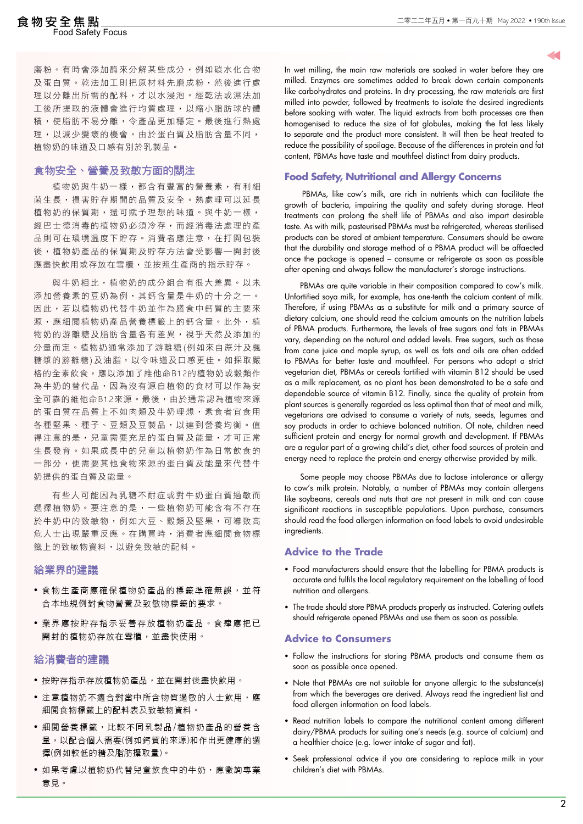# ood Safety Focus

磨粉。有時會添加酶來分解某些成分,例如碳水化合物 及蛋白質。乾法加工則把原材料先磨成粉,然後進行處 理以分離出所需的配料,才以水浸泡。經乾法或濕法加 工後所提取的液體會進行均質處理,以縮小脂肪球的體 積,使脂肪不易分離,令產品更加穩定。最後進行熱處 理,以減少變壞的機會。由於蛋白質及脂肪含量不同, 植物奶的味道及口感有別於乳製品。

# 食物安全、營養及致敏方面的關注

植物奶與牛奶一樣,都含有豐富的營養素,有利細 菌生長,損害貯存期間的品質及安全。熱處理可以延長 植物奶的保質期,還可賦予理想的味道。與牛奶一樣, 經巴士德消毒的植物奶必須冷存,而經消毒法處理的產 品則可在環境温度下貯存。消費者應注意,在打開包裝 後,植物奶產品的保質期及貯存方法會受影響—開封後 應盡快飲用或存放在雪櫃,並按照生產商的指示貯存。

與牛奶相比,植物奶的成分組合有很大差異。以未 添加營養素的豆奶為例,其鈣含量是牛奶的十分之一。 因此,若以植物奶代替牛奶並作為膳食中鈣質的主要來 源,應細閱植物奶產品營養標籤上的鈣含量。此外,植 物奶的游離糖及脂肪含量各有差異,視乎天然及添加的 分量而定。植物奶通常添加了游離糖(例如來自蔗汁及楓 糖漿的游離糖)及油脂,以令味道及口感更佳。如採取嚴 格的全素飲食,應以添加了維他命B12的植物奶或穀類作 為牛奶的替代品,因為沒有源自植物的食材可以作為安 全可靠的維他命B12來源。最後,由於通常認為植物來源 的蛋白質在品質上不如肉類及牛奶理想,素食者宜食用 各種堅果、種子、豆類及豆製品,以達到營養均衡。值 得注意的是,兒童需要充足的蛋白質及能量,才可正常 生長發育。如果成長中的兒童以植物奶作為日常飲食的 一部分,便需要其他食物來源的蛋白質及能量來代替牛 奶提供的蛋白質及能量。

 有些人可能因為乳糖不耐症或對牛奶蛋白質過敏而 選擇植物奶。要注意的是,一些植物奶可能含有不存在 於牛奶中的致敏物,例如大豆、穀類及堅果,可導致高 危人士出現嚴重反應。在購買時,消費者應細閱食物標 籤上的致敏物資料,以避免致敏的配料。

### 給業界的建議

- 食物生產商應確保植物奶產品的標籤準確無誤,並符 合本地規例對食物營養及致敏物標籤的要求。
- 業界應按貯存指示妥善存放植物奶產品。食肆應把已 開封的植物奶存放在雪櫃,並盡快使用。

# 給消費者的建議

- 按貯存指示存放植物奶產品,並在開封後盡快飲用。
- 注意植物奶不適合對當中所含物質過敏的人士飲用,應 細閱食物標籤上的配料表及致敏物資料。
- 細閱營養標籤,比較不同乳製品/植物奶產品的營養含 量,以配合個人需要(例如鈣質的來源)和作出更健康的選 擇(例如較低的糖及脂肪攝取量)。
- 如果考慮以植物奶代替兒童飲食中的牛奶,應徵詢專業 意見。

In wet milling, the main raw materials are soaked in water before they are milled. Enzymes are sometimes added to break down certain components like carbohydrates and proteins. In dry processing, the raw materials are first milled into powder, followed by treatments to isolate the desired ingredients before soaking with water. The liquid extracts from both processes are then homogenised to reduce the size of fat globules, making the fat less likely to separate and the product more consistent. It will then be heat treated to reduce the possibility of spoilage. Because of the differences in protein and fat content, PBMAs have taste and mouthfeel distinct from dairy products.

# **Food Safety, Nutritional and Allergy Concerns**

 PBMAs, like cow's milk, are rich in nutrients which can facilitate the growth of bacteria, impairing the quality and safety during storage. Heat treatments can prolong the shelf life of PBMAs and also impart desirable taste. As with milk, pasteurised PBMAs must be refrigerated, whereas sterilised products can be stored at ambient temperature. Consumers should be aware that the durability and storage method of a PBMA product will be affaected once the package is opened – consume or refrigerate as soon as possible after opening and always follow the manufacturer's storage instructions.

 PBMAs are quite variable in their composition compared to cow's milk. Unfortified soya milk, for example, has one-tenth the calcium content of milk. Therefore, if using PBMAs as a substitute for milk and a primary source of dietary calcium, one should read the calcium amounts on the nutrition labels of PBMA products. Furthermore, the levels of free sugars and fats in PBMAs vary, depending on the natural and added levels. Free sugars, such as those from cane juice and maple syrup, as well as fats and oils are often added to PBMAs for better taste and mouthfeel. For persons who adopt a strict vegetarian diet, PBMAs or cereals fortified with vitamin B12 should be used as a milk replacement, as no plant has been demonstrated to be a safe and dependable source of vitamin B12. Finally, since the quality of protein from plant sources is generally regarded as less optimal than that of meat and milk, vegetarians are advised to consume a variety of nuts, seeds, legumes and soy products in order to achieve balanced nutrition. Of note, children need sufficient protein and energy for normal growth and development. If PBMAs are a regular part of a growing child's diet, other food sources of protein and energy need to replace the protein and energy otherwise provided by milk.

 Some people may choose PBMAs due to lactose intolerance or allergy to cow's milk protein. Notably, a number of PBMAs may contain allergens like soybeans, cereals and nuts that are not present in milk and can cause significant reactions in susceptible populations. Upon purchase, consumers should read the food allergen information on food labels to avoid undesirable ingredients.

#### **Advice to the Trade**

- Food manufacturers should ensure that the labelling for PBMA products is accurate and fulfils the local regulatory requirement on the labelling of food nutrition and allergens.
- The trade should store PBMA products properly as instructed. Catering outlets should refrigerate opened PBMAs and use them as soon as possible.

#### **Advice to Consumers**

- Follow the instructions for storing PBMA products and consume them as soon as possible once opened.
- Note that PBMAs are not suitable for anyone allergic to the substance(s) from which the beverages are derived. Always read the ingredient list and food allergen information on food labels.
- Read nutrition labels to compare the nutritional content among different dairy/PBMA products for suiting one's needs (e.g. source of calcium) and a healthier choice (e.g. lower intake of sugar and fat).
- Seek professional advice if you are considering to replace milk in your children's diet with PBMAs.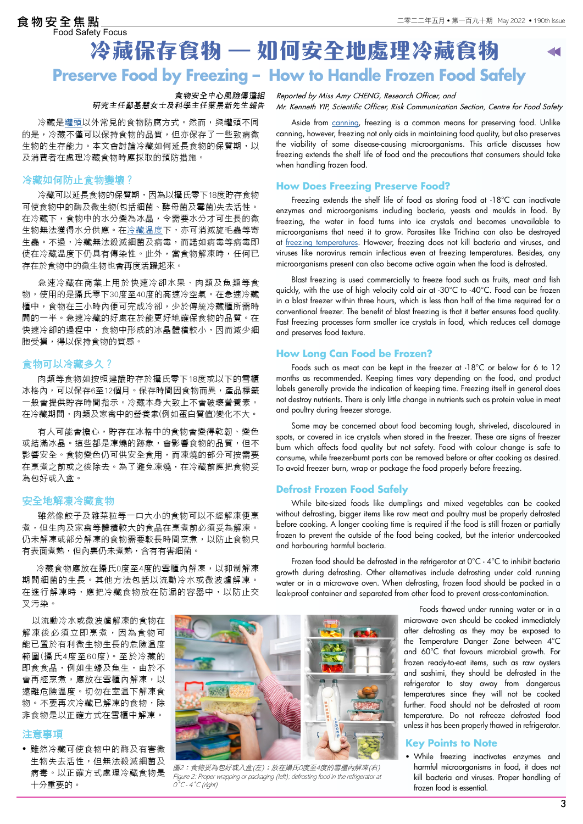# **Preserve Food by Freezing – How to Handle Frozen Food Safely 冷藏保存食物 – 如何安全地處理冷藏食物**  食物安全焦點<br>Food Safety Focus

### 食物安全中心風險傳達組 研究主任鄭基慧女士及科學主任葉景新先生報告

冷藏是[罐頭](https://www.cfs.gov.hk/tc_chi/multimedia/multimedia_pub/multimedia_pub_fsf_186_02.html)以外常見的食物防腐方式。然而,與罐頭不同 的是,冷藏不僅可以保持食物的品質,但亦保存了一些致病微 生物的生存能力。本文會討論冷藏如何延長食物的保質期,以 及消費者在處理冷藏食物時應採取的預防措施。

### 冷藏如何防止食物變壞?

冷藏可以延長食物的保質期,因為以攝氏零下18度貯存食物 可使食物中的酶及微生物(包括細菌、酵母菌及霉菌)失去活性。 在冷藏下,食物中的水分變為冰晶,令需要水分才可生長的微 生物無法獲得水分供應。在冷藏温度下,亦可消滅旋毛蟲等寄 生蟲。不過,冷藏無法殺滅細菌及病毒,而諾如病毒等病毒即 使在冷藏溫度下仍具有傳染性。此外,當食物解凍時,任何已 存在於食物中的微生物也會再度活躍起來。

急速冷藏在商業上用於快速冷卻水果、肉類及魚類等食 物,使用的是攝氏零下30度至40度的高速冷空氣。在急速冷藏 櫃中,食物在三小時內便可完成冷卻,少於傳統冷藏櫃所需時 間的一半。急速冷藏的好處在於能更好地確保食物的品質。在 快速冷卻的過程中,食物中形成的冰晶體積較小,因而減少細 胞受損,得以保持食物的質感。

### 食物可以冷藏多久?

肉類等食物如按照建議貯存於攝氏零下18度或以下的雪櫃 冰格內,可以保存6至12個月。保存時間因食物而異,產品標籤 一般會提供貯存時間指示。冷藏本身大致上不會破壞營養素。 在冷藏期間,肉類及家禽中的營養素(例如蛋白質值)變化不大。

有人可能會擔心,貯存在冰格中的食物會變得乾韌、變色 或結滿冰晶。這些都是凍燒的跡象,會影響食物的品質,但不 影響安全。食物變色仍可供安全食用,而凍燒的部分可按需要 在烹煮之前或之後除去。為了避免凍燒,在冷藏前應把食物妥 為包好或入盒。

### 安全地解凍冷藏食物

雖然像餃子及雜菜粒等一口大小的食物可以不經解凍便烹 煮,但生肉及家禽等體積較大的食品在烹煮前必須妥為解凍。 仍未解凍或部分解凍的食物需要較長時間烹煮,以防止食物只 有表面煮熟,但內裏仍未煮熟,含有有害細菌。

 冷藏食物應放在攝氏0度至4度的雪櫃內解凍,以抑制解凍 期間細菌的生長。其他方法包括以流動冷水或微波爐解凍。 在進行解凍時,應把冷藏食物放在防漏的容器中,以防止交 叉污染。

 以流動冷水或微波爐解凍的食物在 解凍後必須立即烹煮,因為食物可 能已置於有利微生物生長的危險溫度 範圍(攝氏4度至60度)。至於冷藏的 即食食品,例如生蠔及魚生,由於不 會再經烹煮,應放在雪櫃內解凍,以 遠離危險溫度。切勿在室溫下解凍食 物。不要再次冷藏已解凍的食物,除 非食物是以正確方式在雪櫃中解凍。

# 注意事項

• 雖然冷藏可使食物中的酶及有害微 生物失去活性,但無法殺滅細菌及 病毒。以正確方式處理冷藏食物是 十分重要的。



圖2:食物妥為包好或入盒(左);放在攝氏0度至4度的雪櫃內解凍(右) Figure 2: Proper wrapping or packaging (left); defrosting food in the refrigerator at  $O^{\circ}C$  - 4  $^{\circ}C$  (right)

*Reported by Miss Amy CHENG, Research Officer, and Mr. Kenneth YIP, Scientific Officer, Risk Communication Section, Centre for Food Safety*

Aside from [canning](https://www.cfs.gov.hk/english/multimedia/multimedia_pub/multimedia_pub_fsf_186_02.html), freezing is a common means for preserving food. Unlike canning, however, freezing not only aids in maintaining food quality, but also preserves the viability of some disease-causing microorganisms. This article discusses how freezing extends the shelf life of food and the precautions that consumers should take when handling frozen food.

## **How Does Freezing Preserve Food?**

 Freezing extends the shelf life of food as storing food at -18°C can inactivate enzymes and microorganisms including bacteria, yeasts and moulds in food. By freezing, the water in food turns into ice crystals and becomes unavailable to microorganisms that need it to grow. Parasites like Trichina can also be destroyed at [freezing temperatures.](https://ask.usda.gov/s/article/Does-freezing-destroy-parasites) However, freezing does not kill bacteria and viruses, and viruses like norovirus remain infectious even at freezing temperatures. Besides, any microorganisms present can also become active again when the food is defrosted.

 Blast freezing is used commercially to freeze food such as fruits, meat and fish quickly, with the use of high velocity cold air at -30°C to -40°C. Food can be frozen in a blast freezer within three hours, which is less than half of the time required for a conventional freezer. The benefit of blast freezing is that it better ensures food quality. Fast freezing processes form smaller ice crystals in food, which reduces cell damage and preserves food texture.

### **How Long Can Food be Frozen?**

 Foods such as meat can be kept in the freezer at -18°C or below for 6 to 12 months as recommended. Keeping times vary depending on the food, and product labels generally provide the indication of keeping time. Freezing itself in general does not destroy nutrients. There is only little change in nutrients such as protein value in meat and poultry during freezer storage.

 Some may be concerned about food becoming tough, shriveled, discoloured in spots, or covered in ice crystals when stored in the freezer. These are signs of freezer burn which affects food quality but not safety. Food with colour change is safe to consume, while freezer-burnt parts can be removed before or after cooking as desired. To avoid freezer burn, wrap or package the food properly before freezing.

### **Defrost Frozen Food Safely**

 While bite-sized foods like dumplings and mixed vegetables can be cooked without defrosting, bigger items like raw meat and poultry must be properly defrosted before cooking. A longer cooking time is required if the food is still frozen or partially frozen to prevent the outside of the food being cooked, but the interior undercooked and harbouring harmful bacteria.

 Frozen food should be defrosted in the refrigerator at 0°C - 4°C to inhibit bacteria growth during defrosting. Other alternatives include defrosting under cold running water or in a microwave oven. When defrosting, frozen food should be packed in a leak-proof container and separated from other food to prevent cross-contamination.

> Foods thawed under running water or in a microwave oven should be cooked immediately after defrosting as they may be exposed to the Temperature Danger Zone between 4°C and 60°C that favours microbial growth. For frozen ready-to-eat items, such as raw oysters and sashimi, they should be defrosted in the refrigerator to stay away from dangerous temperatures since they will not be cooked further. Food should not be defrosted at room temperature. Do not refreeze defrosted food unless it has been properly thawed in refrigerator.

### **Key Points to Note**

• While freezing inactivates enzymes and harmful microorganisms in food, it does not kill bacteria and viruses. Proper handling of frozen food is essential.